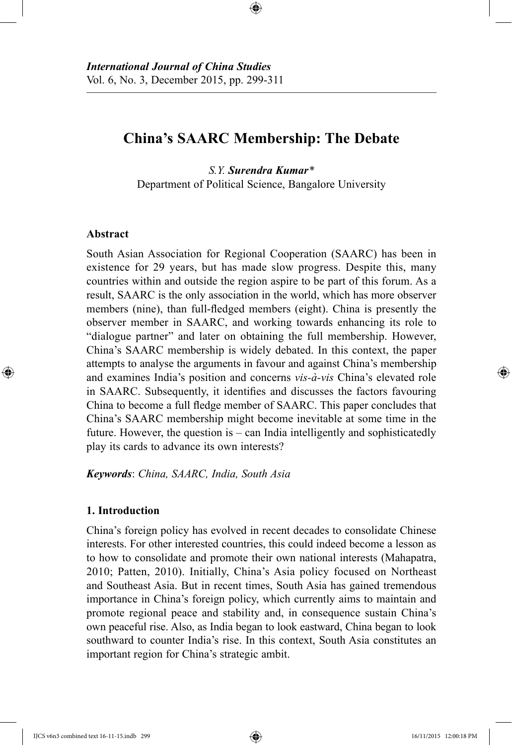# **China's SAARC Membership: The Debate**

⊕

*S.Y. Surendra Kumar\** Department of Political Science, Bangalore University

# **Abstract**

⊕

South Asian Association for Regional Cooperation (SAARC) has been in existence for 29 years, but has made slow progress. Despite this, many countries within and outside the region aspire to be part of this forum. As a result, SAARC is the only association in the world, which has more observer members (nine), than full-fledged members (eight). China is presently the observer member in SAARC, and working towards enhancing its role to "dialogue partner" and later on obtaining the full membership. However, China's SAARC membership is widely debated. In this context, the paper attempts to analyse the arguments in favour and against China's membership and examines India's position and concerns *vis-à-vis* China's elevated role in SAARC. Subsequently, it identifies and discusses the factors favouring China to become a full fledge member of SAARC. This paper concludes that China's SAARC membership might become inevitable at some time in the future. However, the question is – can India intelligently and sophisticatedly play its cards to advance its own interests?

*Keywords*: *China, SAARC, India, South Asia*

# **1. Introduction**

China's foreign policy has evolved in recent decades to consolidate Chinese interests. For other interested countries, this could indeed become a lesson as to how to consolidate and promote their own national interests (Mahapatra, 2010; Patten, 2010). Initially, China's Asia policy focused on Northeast and Southeast Asia. But in recent times, South Asia has gained tremendous importance in China's foreign policy, which currently aims to maintain and promote regional peace and stability and, in consequence sustain China's own peaceful rise. Also, as India began to look eastward, China began to look southward to counter India's rise. In this context, South Asia constitutes an important region for China's strategic ambit.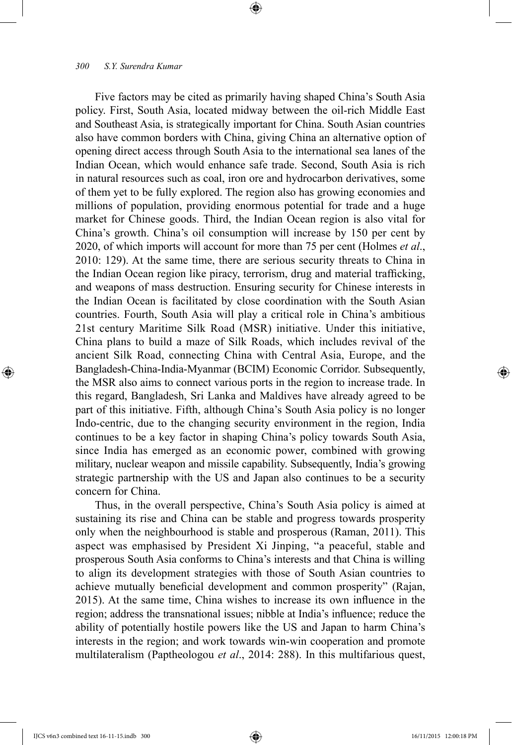Five factors may be cited as primarily having shaped China's South Asia policy. First, South Asia, located midway between the oil-rich Middle East and Southeast Asia, is strategically important for China. South Asian countries also have common borders with China, giving China an alternative option of opening direct access through South Asia to the international sea lanes of the Indian Ocean, which would enhance safe trade. Second, South Asia is rich in natural resources such as coal, iron ore and hydrocarbon derivatives, some of them yet to be fully explored. The region also has growing economies and millions of population, providing enormous potential for trade and a huge market for Chinese goods. Third, the Indian Ocean region is also vital for China's growth. China's oil consumption will increase by 150 per cent by 2020, of which imports will account for more than 75 per cent (Holmes *et al*., 2010: 129). At the same time, there are serious security threats to China in the Indian Ocean region like piracy, terrorism, drug and material trafficking, and weapons of mass destruction. Ensuring security for Chinese interests in the Indian Ocean is facilitated by close coordination with the South Asian countries. Fourth, South Asia will play a critical role in China's ambitious 21st century Maritime Silk Road (MSR) initiative. Under this initiative, China plans to build a maze of Silk Roads, which includes revival of the ancient Silk Road, connecting China with Central Asia, Europe, and the Bangladesh-China-India-Myanmar (BCIM) Economic Corridor. Subsequently, the MSR also aims to connect various ports in the region to increase trade. In this regard, Bangladesh, Sri Lanka and Maldives have already agreed to be part of this initiative. Fifth, although China's South Asia policy is no longer Indo-centric, due to the changing security environment in the region, India continues to be a key factor in shaping China's policy towards South Asia, since India has emerged as an economic power, combined with growing military, nuclear weapon and missile capability. Subsequently, India's growing strategic partnership with the US and Japan also continues to be a security concern for China.

⊕

Thus, in the overall perspective, China's South Asia policy is aimed at sustaining its rise and China can be stable and progress towards prosperity only when the neighbourhood is stable and prosperous (Raman, 2011). This aspect was emphasised by President Xi Jinping, "a peaceful, stable and prosperous South Asia conforms to China's interests and that China is willing to align its development strategies with those of South Asian countries to achieve mutually beneficial development and common prosperity" (Rajan, 2015). At the same time, China wishes to increase its own influence in the region; address the transnational issues; nibble at India's influence; reduce the ability of potentially hostile powers like the US and Japan to harm China's interests in the region; and work towards win-win cooperation and promote multilateralism (Paptheologou *et al*., 2014: 288). In this multifarious quest,

⊕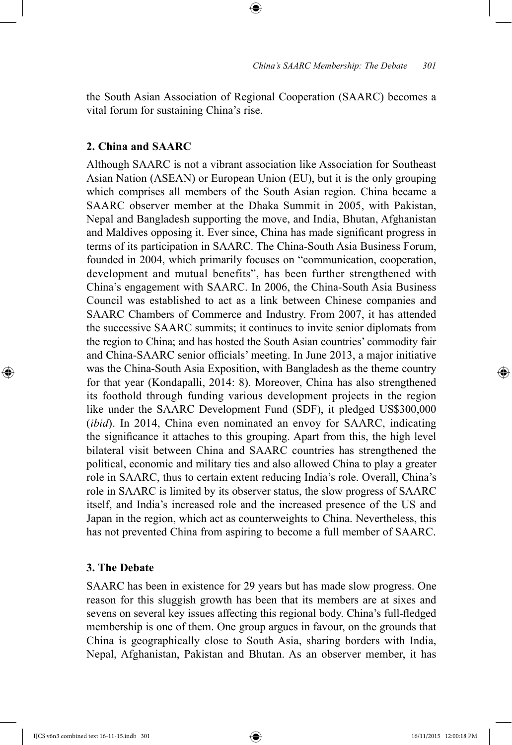the South Asian Association of Regional Cooperation (SAARC) becomes a vital forum for sustaining China's rise.

⊕

## **2. China and SAARC**

Although SAARC is not a vibrant association like Association for Southeast Asian Nation (ASEAN) or European Union (EU), but it is the only grouping which comprises all members of the South Asian region. China became a SAARC observer member at the Dhaka Summit in 2005, with Pakistan, Nepal and Bangladesh supporting the move, and India, Bhutan, Afghanistan and Maldives opposing it. Ever since, China has made significant progress in terms of its participation in SAARC. The China-South Asia Business Forum, founded in 2004, which primarily focuses on "communication, cooperation, development and mutual benefits", has been further strengthened with China's engagement with SAARC. In 2006, the China-South Asia Business Council was established to act as a link between Chinese companies and SAARC Chambers of Commerce and Industry. From 2007, it has attended the successive SAARC summits; it continues to invite senior diplomats from the region to China; and has hosted the South Asian countries' commodity fair and China-SAARC senior officials' meeting. In June 2013, a major initiative was the China-South Asia Exposition, with Bangladesh as the theme country for that year (Kondapalli, 2014: 8). Moreover, China has also strengthened its foothold through funding various development projects in the region like under the SAARC Development Fund (SDF), it pledged US\$300,000 (*ibid*). In 2014, China even nominated an envoy for SAARC, indicating the significance it attaches to this grouping. Apart from this, the high level bilateral visit between China and SAARC countries has strengthened the political, economic and military ties and also allowed China to play a greater role in SAARC, thus to certain extent reducing India's role. Overall, China's role in SAARC is limited by its observer status, the slow progress of SAARC itself, and India's increased role and the increased presence of the US and Japan in the region, which act as counterweights to China. Nevertheless, this has not prevented China from aspiring to become a full member of SAARC.

# **3. The Debate**

⊕

SAARC has been in existence for 29 years but has made slow progress. One reason for this sluggish growth has been that its members are at sixes and sevens on several key issues affecting this regional body. China's full-fledged membership is one of them. One group argues in favour, on the grounds that China is geographically close to South Asia, sharing borders with India, Nepal, Afghanistan, Pakistan and Bhutan. As an observer member, it has

IJCS v6n3 combined text 16-11-15.indb 301 16/11/2015 12:00:18 PM

↔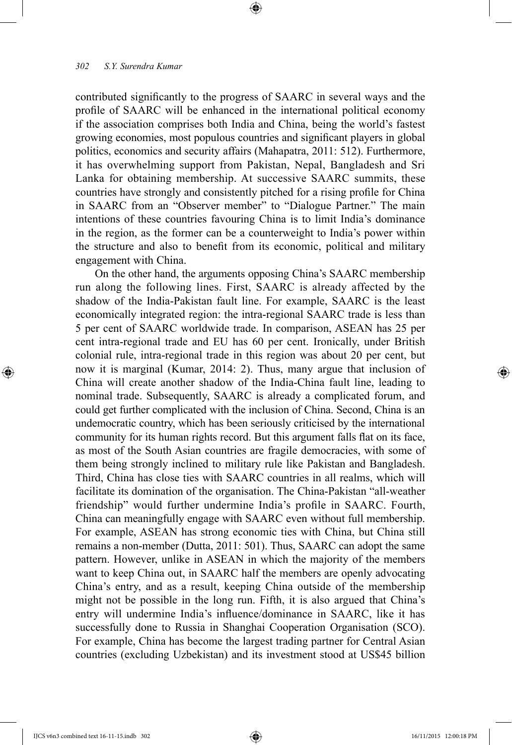contributed significantly to the progress of SAARC in several ways and the profile of SAARC will be enhanced in the international political economy if the association comprises both India and China, being the world's fastest growing economies, most populous countries and significant players in global politics, economics and security affairs (Mahapatra, 2011: 512). Furthermore, it has overwhelming support from Pakistan, Nepal, Bangladesh and Sri Lanka for obtaining membership. At successive SAARC summits, these countries have strongly and consistently pitched for a rising profile for China in SAARC from an "Observer member" to "Dialogue Partner." The main intentions of these countries favouring China is to limit India's dominance in the region, as the former can be a counterweight to India's power within the structure and also to benefit from its economic, political and military engagement with China.

⊕

On the other hand, the arguments opposing China's SAARC membership run along the following lines. First, SAARC is already affected by the shadow of the India-Pakistan fault line. For example, SAARC is the least economically integrated region: the intra-regional SAARC trade is less than 5 per cent of SAARC worldwide trade. In comparison, ASEAN has 25 per cent intra-regional trade and EU has 60 per cent. Ironically, under British colonial rule, intra-regional trade in this region was about 20 per cent, but now it is marginal (Kumar, 2014: 2). Thus, many argue that inclusion of China will create another shadow of the India-China fault line, leading to nominal trade. Subsequently, SAARC is already a complicated forum, and could get further complicated with the inclusion of China. Second, China is an undemocratic country, which has been seriously criticised by the international community for its human rights record. But this argument falls flat on its face, as most of the South Asian countries are fragile democracies, with some of them being strongly inclined to military rule like Pakistan and Bangladesh. Third, China has close ties with SAARC countries in all realms, which will facilitate its domination of the organisation. The China-Pakistan "all-weather friendship" would further undermine India's profile in SAARC. Fourth, China can meaningfully engage with SAARC even without full membership. For example, ASEAN has strong economic ties with China, but China still remains a non-member (Dutta, 2011: 501). Thus, SAARC can adopt the same pattern. However, unlike in ASEAN in which the majority of the members want to keep China out, in SAARC half the members are openly advocating China's entry, and as a result, keeping China outside of the membership might not be possible in the long run. Fifth, it is also argued that China's entry will undermine India's influence/dominance in SAARC, like it has successfully done to Russia in Shanghai Cooperation Organisation (SCO). For example, China has become the largest trading partner for Central Asian countries (excluding Uzbekistan) and its investment stood at US\$45 billion

⊕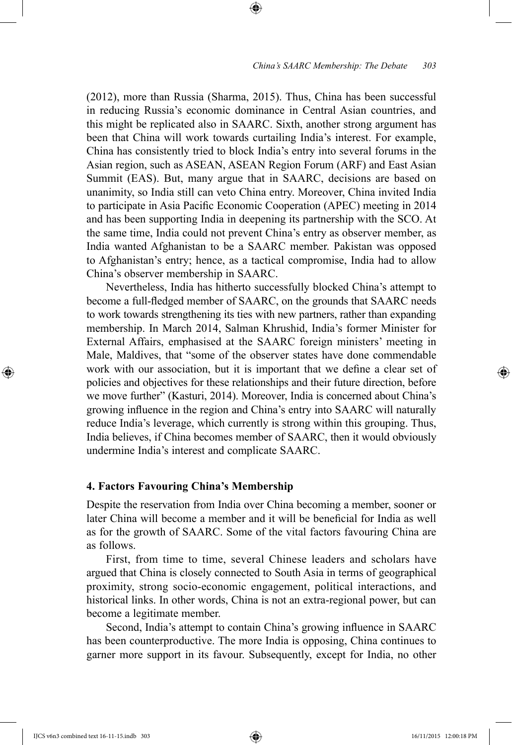#### *China's SAARC Membership: The Debate 303*

(2012), more than Russia (Sharma, 2015). Thus, China has been successful in reducing Russia's economic dominance in Central Asian countries, and this might be replicated also in SAARC. Sixth, another strong argument has been that China will work towards curtailing India's interest. For example, China has consistently tried to block India's entry into several forums in the Asian region, such as ASEAN, ASEAN Region Forum (ARF) and East Asian Summit (EAS). But, many argue that in SAARC, decisions are based on unanimity, so India still can veto China entry. Moreover, China invited India to participate in Asia Pacific Economic Cooperation (APEC) meeting in 2014 and has been supporting India in deepening its partnership with the SCO. At the same time, India could not prevent China's entry as observer member, as India wanted Afghanistan to be a SAARC member. Pakistan was opposed to Afghanistan's entry; hence, as a tactical compromise, India had to allow China's observer membership in SAARC.

⊕

Nevertheless, India has hitherto successfully blocked China's attempt to become a full-fledged member of SAARC, on the grounds that SAARC needs to work towards strengthening its ties with new partners, rather than expanding membership. In March 2014, Salman Khrushid, India's former Minister for External Affairs, emphasised at the SAARC foreign ministers' meeting in Male, Maldives, that "some of the observer states have done commendable work with our association, but it is important that we define a clear set of policies and objectives for these relationships and their future direction, before we move further" (Kasturi, 2014). Moreover, India is concerned about China's growing influence in the region and China's entry into SAARC will naturally reduce India's leverage, which currently is strong within this grouping. Thus, India believes, if China becomes member of SAARC, then it would obviously undermine India's interest and complicate SAARC.

## **4. Factors Favouring China's Membership**

Despite the reservation from India over China becoming a member, sooner or later China will become a member and it will be beneficial for India as well as for the growth of SAARC. Some of the vital factors favouring China are as follows.

First, from time to time, several Chinese leaders and scholars have argued that China is closely connected to South Asia in terms of geographical proximity, strong socio-economic engagement, political interactions, and historical links. In other words, China is not an extra-regional power, but can become a legitimate member.

Second, India's attempt to contain China's growing influence in SAARC has been counterproductive. The more India is opposing, China continues to garner more support in its favour. Subsequently, except for India, no other

IJCS v6n3 combined text 16-11-15.indb 303 16/11/2015 12:00:18 PM

⊕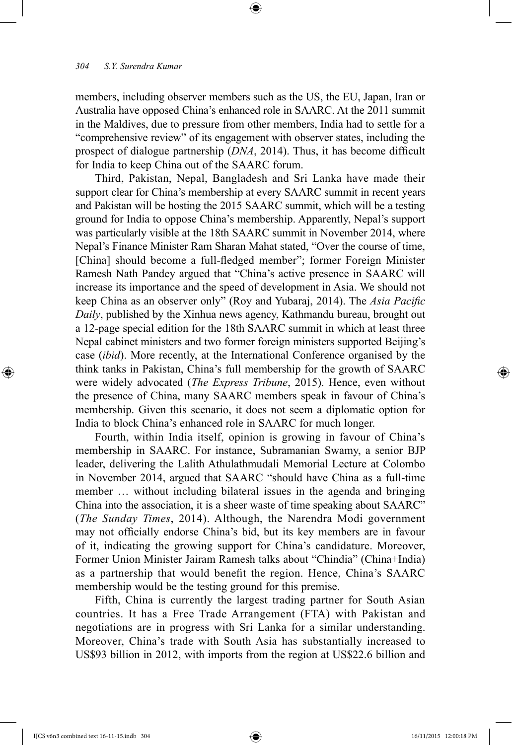members, including observer members such as the US, the EU, Japan, Iran or Australia have opposed China's enhanced role in SAARC. At the 2011 summit in the Maldives, due to pressure from other members, India had to settle for a "comprehensive review" of its engagement with observer states, including the prospect of dialogue partnership (*DNA*, 2014). Thus, it has become difficult for India to keep China out of the SAARC forum.

⊕

Third, Pakistan, Nepal, Bangladesh and Sri Lanka have made their support clear for China's membership at every SAARC summit in recent years and Pakistan will be hosting the 2015 SAARC summit, which will be a testing ground for India to oppose China's membership. Apparently, Nepal's support was particularly visible at the 18th SAARC summit in November 2014, where Nepal's Finance Minister Ram Sharan Mahat stated, "Over the course of time, [China] should become a full-fledged member"; former Foreign Minister Ramesh Nath Pandey argued that "China's active presence in SAARC will increase its importance and the speed of development in Asia. We should not keep China as an observer only" (Roy and Yubaraj, 2014). The *Asia Pacific Daily*, published by the Xinhua news agency, Kathmandu bureau, brought out a 12-page special edition for the 18th SAARC summit in which at least three Nepal cabinet ministers and two former foreign ministers supported Beijing's case (*ibid*). More recently, at the International Conference organised by the think tanks in Pakistan, China's full membership for the growth of SAARC were widely advocated (*The Express Tribune*, 2015). Hence, even without the presence of China, many SAARC members speak in favour of China's membership. Given this scenario, it does not seem a diplomatic option for India to block China's enhanced role in SAARC for much longer.

Fourth, within India itself, opinion is growing in favour of China's membership in SAARC. For instance, Subramanian Swamy, a senior BJP leader, delivering the Lalith Athulathmudali Memorial Lecture at Colombo in November 2014, argued that SAARC "should have China as a full-time member … without including bilateral issues in the agenda and bringing China into the association, it is a sheer waste of time speaking about SAARC" (*The Sunday Times*, 2014). Although, the Narendra Modi government may not officially endorse China's bid, but its key members are in favour of it, indicating the growing support for China's candidature. Moreover, Former Union Minister Jairam Ramesh talks about "Chindia" (China+India) as a partnership that would benefit the region. Hence, China's SAARC membership would be the testing ground for this premise.

Fifth, China is currently the largest trading partner for South Asian countries. It has a Free Trade Arrangement (FTA) with Pakistan and negotiations are in progress with Sri Lanka for a similar understanding. Moreover, China's trade with South Asia has substantially increased to US\$93 billion in 2012, with imports from the region at US\$22.6 billion and

⊕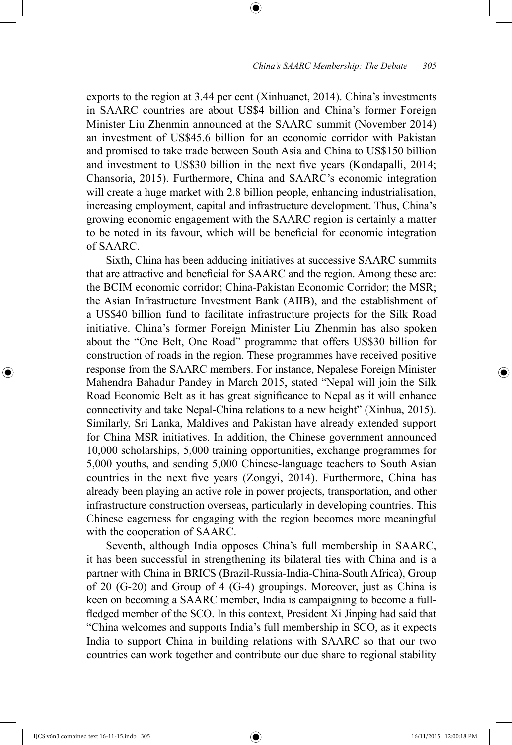exports to the region at 3.44 per cent (Xinhuanet, 2014). China's investments in SAARC countries are about US\$4 billion and China's former Foreign Minister Liu Zhenmin announced at the SAARC summit (November 2014) an investment of US\$45.6 billion for an economic corridor with Pakistan and promised to take trade between South Asia and China to US\$150 billion and investment to US\$30 billion in the next five years (Kondapalli, 2014; Chansoria, 2015). Furthermore, China and SAARC's economic integration will create a huge market with 2.8 billion people, enhancing industrialisation, increasing employment, capital and infrastructure development. Thus, China's growing economic engagement with the SAARC region is certainly a matter to be noted in its favour, which will be beneficial for economic integration of SAARC.

⊕

Sixth, China has been adducing initiatives at successive SAARC summits that are attractive and beneficial for SAARC and the region. Among these are: the BCIM economic corridor; China-Pakistan Economic Corridor; the MSR; the Asian Infrastructure Investment Bank (AIIB), and the establishment of a US\$40 billion fund to facilitate infrastructure projects for the Silk Road initiative. China's former Foreign Minister Liu Zhenmin has also spoken about the "One Belt, One Road" programme that offers US\$30 billion for construction of roads in the region. These programmes have received positive response from the SAARC members. For instance, Nepalese Foreign Minister Mahendra Bahadur Pandey in March 2015, stated "Nepal will join the Silk Road Economic Belt as it has great significance to Nepal as it will enhance connectivity and take Nepal-China relations to a new height" (Xinhua, 2015). Similarly, Sri Lanka, Maldives and Pakistan have already extended support for China MSR initiatives. In addition, the Chinese government announced 10,000 scholarships, 5,000 training opportunities, exchange programmes for 5,000 youths, and sending 5,000 Chinese-language teachers to South Asian countries in the next five years (Zongyi, 2014). Furthermore, China has already been playing an active role in power projects, transportation, and other infrastructure construction overseas, particularly in developing countries. This Chinese eagerness for engaging with the region becomes more meaningful with the cooperation of SAARC.

Seventh, although India opposes China's full membership in SAARC, it has been successful in strengthening its bilateral ties with China and is a partner with China in BRICS (Brazil-Russia-India-China-South Africa), Group of 20 (G-20) and Group of 4 (G-4) groupings. Moreover, just as China is keen on becoming a SAARC member, India is campaigning to become a fullfledged member of the SCO. In this context, President Xi Jinping had said that "China welcomes and supports India's full membership in SCO, as it expects India to support China in building relations with SAARC so that our two countries can work together and contribute our due share to regional stability

IJCS v6n3 combined text 16-11-15.indb 305 16/11/2015 12:00:18 PM

⊕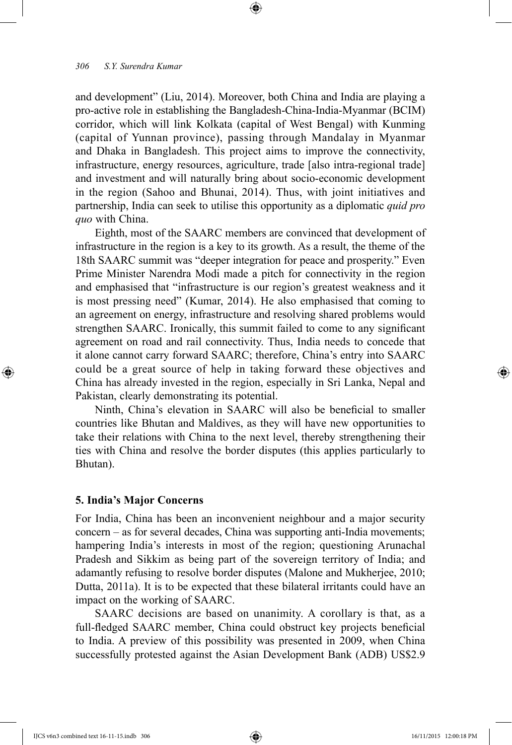and development" (Liu, 2014). Moreover, both China and India are playing a pro-active role in establishing the Bangladesh-China-India-Myanmar (BCIM) corridor, which will link Kolkata (capital of West Bengal) with Kunming (capital of Yunnan province), passing through Mandalay in Myanmar and Dhaka in Bangladesh. This project aims to improve the connectivity, infrastructure, energy resources, agriculture, trade [also intra-regional trade] and investment and will naturally bring about socio-economic development in the region (Sahoo and Bhunai, 2014). Thus, with joint initiatives and partnership, India can seek to utilise this opportunity as a diplomatic *quid pro quo* with China.

⊕

Eighth, most of the SAARC members are convinced that development of infrastructure in the region is a key to its growth. As a result, the theme of the 18th SAARC summit was "deeper integration for peace and prosperity." Even Prime Minister Narendra Modi made a pitch for connectivity in the region and emphasised that "infrastructure is our region's greatest weakness and it is most pressing need" (Kumar, 2014). He also emphasised that coming to an agreement on energy, infrastructure and resolving shared problems would strengthen SAARC. Ironically, this summit failed to come to any significant agreement on road and rail connectivity. Thus, India needs to concede that it alone cannot carry forward SAARC; therefore, China's entry into SAARC could be a great source of help in taking forward these objectives and China has already invested in the region, especially in Sri Lanka, Nepal and Pakistan, clearly demonstrating its potential.

Ninth, China's elevation in SAARC will also be beneficial to smaller countries like Bhutan and Maldives, as they will have new opportunities to take their relations with China to the next level, thereby strengthening their ties with China and resolve the border disputes (this applies particularly to Bhutan).

## **5. India's Major Concerns**

For India, China has been an inconvenient neighbour and a major security concern *–* as for several decades, China was supporting anti-India movements; hampering India's interests in most of the region; questioning Arunachal Pradesh and Sikkim as being part of the sovereign territory of India; and adamantly refusing to resolve border disputes (Malone and Mukherjee, 2010; Dutta, 2011a). It is to be expected that these bilateral irritants could have an impact on the working of SAARC.

SAARC decisions are based on unanimity. A corollary is that, as a full-fledged SAARC member, China could obstruct key projects beneficial to India. A preview of this possibility was presented in 2009, when China successfully protested against the Asian Development Bank (ADB) US\$2.9

⊕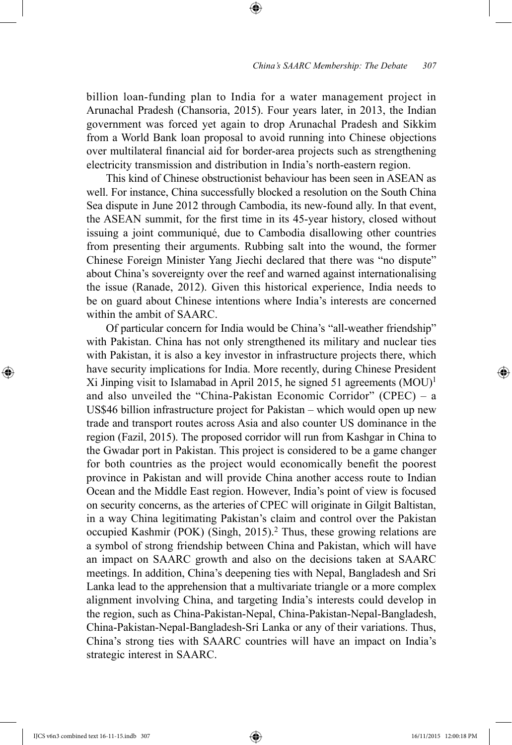billion loan-funding plan to India for a water management project in Arunachal Pradesh (Chansoria, 2015). Four years later, in 2013, the Indian government was forced yet again to drop Arunachal Pradesh and Sikkim from a World Bank loan proposal to avoid running into Chinese objections over multilateral financial aid for border-area projects such as strengthening electricity transmission and distribution in India's north-eastern region.

⊕

This kind of Chinese obstructionist behaviour has been seen in ASEAN as well. For instance, China successfully blocked a resolution on the South China Sea dispute in June 2012 through Cambodia, its new-found ally. In that event, the ASEAN summit, for the first time in its 45-year history, closed without issuing a joint communiqué, due to Cambodia disallowing other countries from presenting their arguments. Rubbing salt into the wound, the former Chinese Foreign Minister Yang Jiechi declared that there was "no dispute" about China's sovereignty over the reef and warned against internationalising the issue (Ranade, 2012). Given this historical experience, India needs to be on guard about Chinese intentions where India's interests are concerned within the ambit of SAARC.

Of particular concern for India would be China's "all-weather friendship" with Pakistan. China has not only strengthened its military and nuclear ties with Pakistan, it is also a key investor in infrastructure projects there, which have security implications for India. More recently, during Chinese President Xi Jinping visit to Islamabad in April 2015, he signed 51 agreements  $(MOU)^1$ and also unveiled the "China-Pakistan Economic Corridor" (CPEC) – a US\$46 billion infrastructure project for Pakistan – which would open up new trade and transport routes across Asia and also counter US dominance in the region (Fazil, 2015). The proposed corridor will run from Kashgar in China to the Gwadar port in Pakistan. This project is considered to be a game changer for both countries as the project would economically benefit the poorest province in Pakistan and will provide China another access route to Indian Ocean and the Middle East region. However, India's point of view is focused on security concerns, as the arteries of CPEC will originate in Gilgit Baltistan, in a way China legitimating Pakistan's claim and control over the Pakistan occupied Kashmir (POK) (Singh,  $2015$ ).<sup>2</sup> Thus, these growing relations are a symbol of strong friendship between China and Pakistan, which will have an impact on SAARC growth and also on the decisions taken at SAARC meetings. In addition, China's deepening ties with Nepal, Bangladesh and Sri Lanka lead to the apprehension that a multivariate triangle or a more complex alignment involving China, and targeting India's interests could develop in the region, such as China-Pakistan-Nepal, China-Pakistan-Nepal-Bangladesh, China-Pakistan-Nepal-Bangladesh-Sri Lanka or any of their variations. Thus, China's strong ties with SAARC countries will have an impact on India's strategic interest in SAARC.

⊕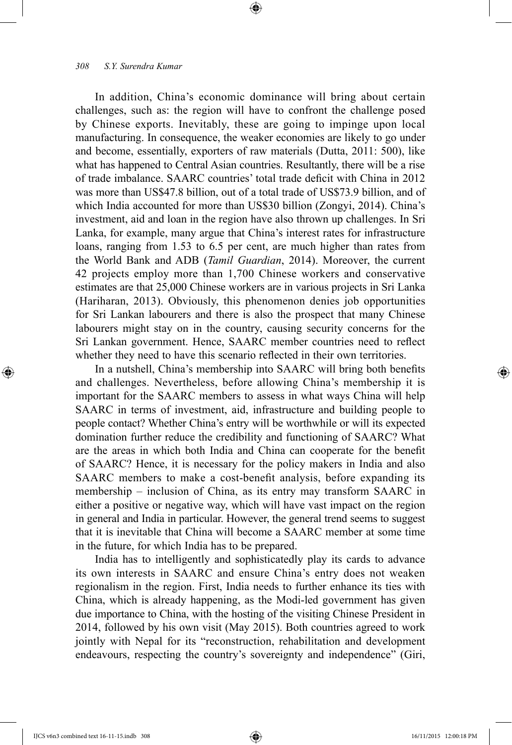In addition, China's economic dominance will bring about certain challenges, such as: the region will have to confront the challenge posed by Chinese exports. Inevitably, these are going to impinge upon local manufacturing. In consequence, the weaker economies are likely to go under and become, essentially, exporters of raw materials (Dutta, 2011: 500), like what has happened to Central Asian countries. Resultantly, there will be a rise of trade imbalance. SAARC countries' total trade deficit with China in 2012 was more than US\$47.8 billion, out of a total trade of US\$73.9 billion, and of which India accounted for more than US\$30 billion (Zongyi, 2014). China's investment, aid and loan in the region have also thrown up challenges. In Sri Lanka, for example, many argue that China's interest rates for infrastructure loans, ranging from 1.53 to 6.5 per cent, are much higher than rates from the World Bank and ADB (*Tamil Guardian*, 2014). Moreover, the current 42 projects employ more than 1,700 Chinese workers and conservative estimates are that 25,000 Chinese workers are in various projects in Sri Lanka (Hariharan, 2013). Obviously, this phenomenon denies job opportunities for Sri Lankan labourers and there is also the prospect that many Chinese labourers might stay on in the country, causing security concerns for the Sri Lankan government. Hence, SAARC member countries need to reflect whether they need to have this scenario reflected in their own territories.

⊕

In a nutshell, China's membership into SAARC will bring both benefits and challenges. Nevertheless, before allowing China's membership it is important for the SAARC members to assess in what ways China will help SAARC in terms of investment, aid, infrastructure and building people to people contact? Whether China's entry will be worthwhile or will its expected domination further reduce the credibility and functioning of SAARC? What are the areas in which both India and China can cooperate for the benefit of SAARC? Hence, it is necessary for the policy makers in India and also SAARC members to make a cost-benefit analysis, before expanding its membership – inclusion of China, as its entry may transform SAARC in either a positive or negative way, which will have vast impact on the region in general and India in particular. However, the general trend seems to suggest that it is inevitable that China will become a SAARC member at some time in the future, for which India has to be prepared.

India has to intelligently and sophisticatedly play its cards to advance its own interests in SAARC and ensure China's entry does not weaken regionalism in the region. First, India needs to further enhance its ties with China, which is already happening, as the Modi-led government has given due importance to China, with the hosting of the visiting Chinese President in 2014, followed by his own visit (May 2015). Both countries agreed to work jointly with Nepal for its "reconstruction, rehabilitation and development endeavours, respecting the country's sovereignty and independence" (Giri,

IJCS v6n3 combined text 16-11-15.indb 308 16/11/2015 12:00:18 PM

⊕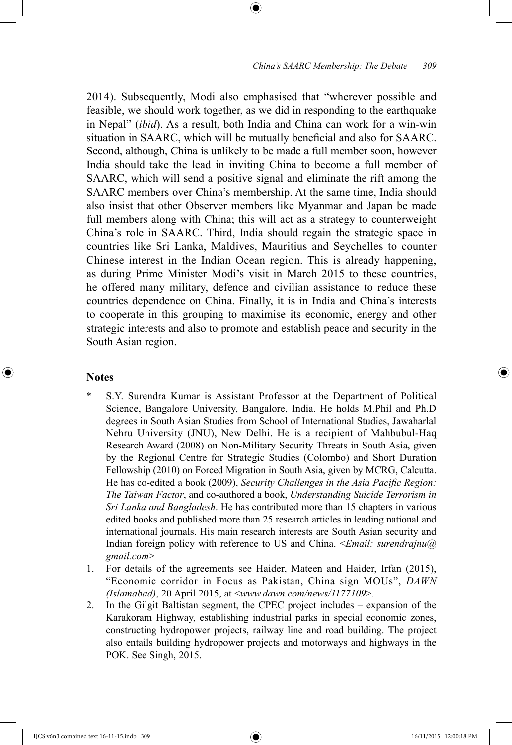2014). Subsequently, Modi also emphasised that "wherever possible and feasible, we should work together, as we did in responding to the earthquake in Nepal" (*ibid*). As a result, both India and China can work for a win-win situation in SAARC, which will be mutually beneficial and also for SAARC. Second, although, China is unlikely to be made a full member soon, however India should take the lead in inviting China to become a full member of SAARC, which will send a positive signal and eliminate the rift among the SAARC members over China's membership. At the same time, India should also insist that other Observer members like Myanmar and Japan be made full members along with China; this will act as a strategy to counterweight China's role in SAARC. Third, India should regain the strategic space in countries like Sri Lanka, Maldives, Mauritius and Seychelles to counter Chinese interest in the Indian Ocean region. This is already happening, as during Prime Minister Modi's visit in March 2015 to these countries, he offered many military, defence and civilian assistance to reduce these countries dependence on China. Finally, it is in India and China's interests to cooperate in this grouping to maximise its economic, energy and other strategic interests and also to promote and establish peace and security in the South Asian region.

⊕

#### **Notes**

⊕

- \* S.Y. Surendra Kumar is Assistant Professor at the Department of Political Science, Bangalore University, Bangalore, India. He holds M.Phil and Ph.D degrees in South Asian Studies from School of International Studies, Jawaharlal Nehru University (JNU), New Delhi. He is a recipient of Mahbubul-Haq Research Award (2008) on Non-Military Security Threats in South Asia, given by the Regional Centre for Strategic Studies (Colombo) and Short Duration Fellowship (2010) on Forced Migration in South Asia, given by MCRG, Calcutta. He has co-edited a book (2009), *Security Challenges in the Asia Pacific Region: The Taiwan Factor*, and co-authored a book, *Understanding Suicide Terrorism in Sri Lanka and Bangladesh*. He has contributed more than 15 chapters in various edited books and published more than 25 research articles in leading national and international journals. His main research interests are South Asian security and Indian foreign policy with reference to US and China. <*Email: surendrajnu@ gmail.com*>
- 1. For details of the agreements see Haider, Mateen and Haider, Irfan (2015), "Economic corridor in Focus as Pakistan, China sign MOUs", *DAWN (Islamabad)*, 20 April 2015, at <*www.dawn.com/news/1177109*>.
- 2. In the Gilgit Baltistan segment, the CPEC project includes *–* expansion of the Karakoram Highway, establishing industrial parks in special economic zones, constructing hydropower projects, railway line and road building. The project also entails building hydropower projects and motorways and highways in the POK. See Singh, 2015.

IJCS v6n3 combined text 16-11-15.indb 309 16/11/2015 12:00:18 PM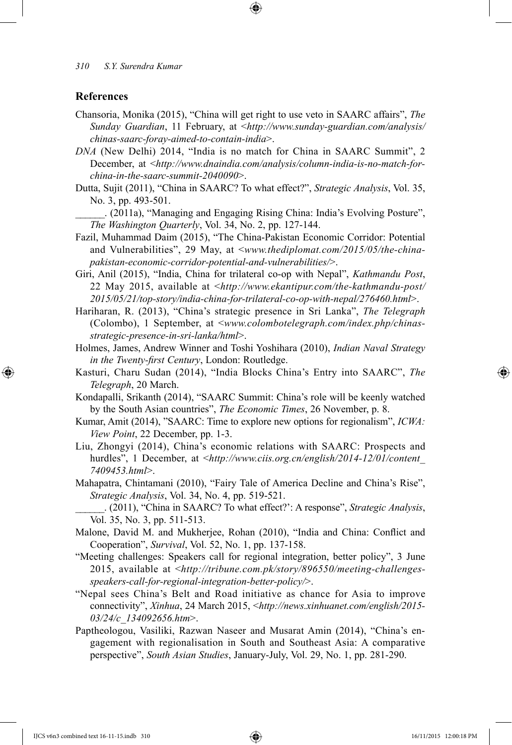#### **References**

⊕

- Chansoria, Monika (2015), "China will get right to use veto in SAARC affairs", *The Sunday Guardian*, 11 February, at <*http://www.sunday-guardian.com/analysis/ chinas-saarc-foray-aimed-to-contain-india*>.
- *DNA* (New Delhi) 2014, "India is no match for China in SAARC Summit", 2 December, at <*http://www.dnaindia.com/analysis/column-india-is-no-match-forchina-in-the-saarc-summit-2040090*>.
- Dutta, Sujit (2011), "China in SAARC? To what effect?", *Strategic Analysis*, Vol. 35, No. 3, pp. 493-501.
	- \_\_\_\_\_\_. (2011a), "Managing and Engaging Rising China: India's Evolving Posture", *The Washington Quarterly*, Vol. 34, No. 2, pp. 127-144.
- Fazil, Muhammad Daim (2015), "The China-Pakistan Economic Corridor: Potential and Vulnerabilities", 29 May, at <*www.thediplomat.com/2015/05/the-chinapakistan-economic-corridor-potential-and-vulnerabilities/*>.
- Giri, Anil (2015), "India, China for trilateral co-op with Nepal", *Kathmandu Post*, 22 May 2015, available at <*http://www.ekantipur.com/the-kathmandu-post/ 2015/05/21/top-story/india-china-for-trilateral-co-op-with-nepal/276460.html*>.
- Hariharan, R. (2013), "China's strategic presence in Sri Lanka", *The Telegraph*  (Colombo), 1 September, at <*www.colombotelegraph.com/index.php/chinasstrategic-presence-in-sri-lanka/html*>.
- Holmes, James, Andrew Winner and Toshi Yoshihara (2010), *Indian Naval Strategy in the Twenty-first Century*, London: Routledge.
- Kasturi, Charu Sudan (2014), "India Blocks China's Entry into SAARC", *The Telegraph*, 20 March.
- Kondapalli, Srikanth (2014), "SAARC Summit: China's role will be keenly watched by the South Asian countries", *The Economic Times*, 26 November, p. 8.
- Kumar, Amit (2014), "SAARC: Time to explore new options for regionalism", *ICWA: View Point*, 22 December, pp. 1-3.
- Liu, Zhongyi (2014), China's economic relations with SAARC: Prospects and hurdles", 1 December, at <*http://www.ciis.org.cn/english/2014-12/01/content 7409453.html*>.
- Mahapatra, Chintamani (2010), "Fairy Tale of America Decline and China's Rise", *Strategic Analysis*, Vol. 34, No. 4, pp. 519-521.

\_\_\_\_\_\_. (2011), "China in SAARC? To what effect?': A response", *Strategic Analysis*, Vol. 35, No. 3, pp. 511-513.

- Malone, David M. and Mukherjee, Rohan (2010), "India and China: Conflict and Cooperation", *Survival*, Vol. 52, No. 1, pp. 137-158.
- "Meeting challenges: Speakers call for regional integration, better policy", 3 June 2015, available at <*http://tribune.com.pk/story/896550/meeting-challengesspeakers-call-for-regional-integration-better-policy/*>.
- "Nepal sees China's Belt and Road initiative as chance for Asia to improve connectivity", *Xinhua*, 24 March 2015, <*http://news.xinhuanet.com/english/2015- 03/24/c\_134092656.htm*>.
- Paptheologou, Vasiliki, Razwan Naseer and Musarat Amin (2014), "China's engagement with regionalisation in South and Southeast Asia: A comparative perspective", *South Asian Studies*, January-July, Vol. 29, No. 1, pp. 281-290.